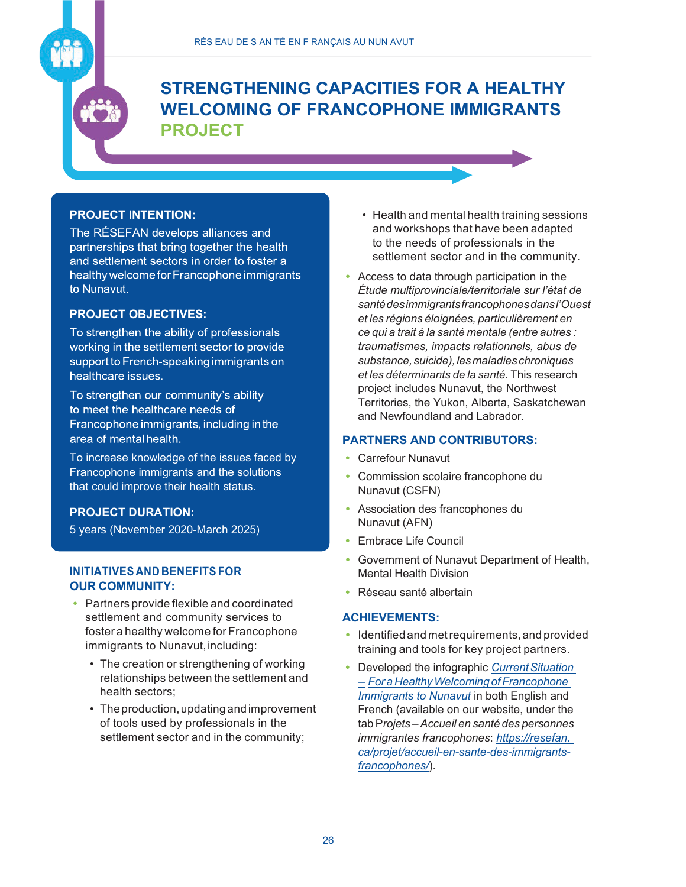# **STRENGTHENING CAPACITIES FOR A HEALTHY WELCOMING OF FRANCOPHONE IMMIGRANTS PROJECT**

## **PROJECT INTENTION:**

The RÉSEFAN develops alliances and partnerships that bring together the health and settlement sectors in order to foster a healthy welcome for Francophone immigrants to Nunavut.

### **PROJECT OBJECTIVES:**

To strengthen the ability of professionals working in the settlement sector to provide support to French-speaking immigrants on healthcare issues.

To strengthen our community's ability to meet the healthcare needs of Francophone immigrants, including in the area of mental health.

To increase knowledge of the issues faced by Francophone immigrants and the solutions that could improve their health status.

#### **PROJECT DURATION:**

5 years (November 2020-March 2025)

#### **INITIATIVES AND BENEFITS FOR OUR COMMUNITY:**

- **•** Partners provide flexible and coordinated settlement and community services to foster a healthy welcome for Francophone immigrants to Nunavut, including:
	- The creation or strengthening of working relationships between the settlement and health sectors;
	- Theproduction,updatingandimprovement of tools used by professionals in the settlement sector and in the community;
- Health and mental health training sessions and workshops that have been adapted to the needs of professionals in the settlement sector and in the community.
- **•** Access to data through participation in the *Étude multiprovinciale/territoriale sur l'état de santédesimmigrantsfrancophonesdansl'Ouest et les régions éloignées, particulièrement en ce qui a trait à la santé mentale (entre autres : traumatismes, impacts relationnels, abus de substance,suicide),lesmaladieschroniques et les déterminants de la santé*. This research project includes Nunavut, the Northwest Territories, the Yukon, Alberta, Saskatchewan and Newfoundland and Labrador.

#### **PARTNERS AND CONTRIBUTORS:**

- **•** Carrefour Nunavut
- **•** Commission scolaire francophone du Nunavut (CSFN)
- **•** Association des francophones du Nunavut (AFN)
- **•** Embrace Life Council
- **•** Government of Nunavut Department of Health, Mental Health Division
- **•** Réseau santé albertain

#### **ACHIEVEMENTS:**

- **•** Identified and metrequirements,and provided training and tools for key project partners.
- Developed the infographic *Current Situation – For a HealthyWelcoming ofFrancophone Immigrants to Nunavut* in both English and French (available on our website, under the tab P*rojets –Accueil en santé des personnes immigrantes francophones*: *https://resefan. ca/projet/accueil-en-sante-des-immigrantsfrancophones/*).